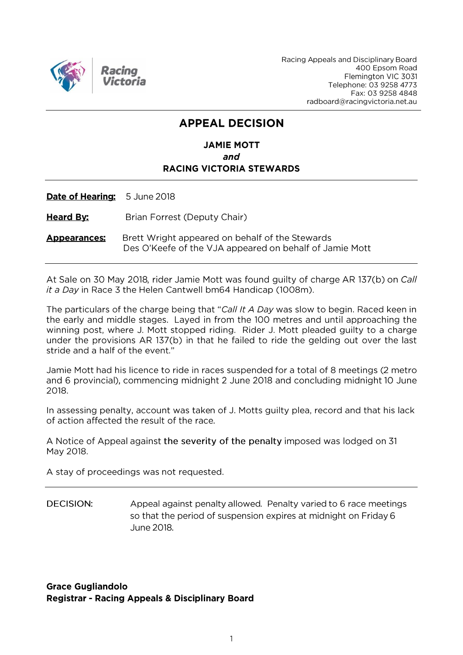

Racing Appeals and Disciplinary Board 400 Epsom Road Flemington VIC 3031 Telephone: 03 9258 4773 Fax: 03 9258 4848 radboard@racingvictoria.net.au

## **APPEAL DECISION**

### **JAMIE MOTT** and **RACING VICTORIA STEWARDS**

Date of Hearing: 5 June 2018

**Heard By:** Brian Forrest (Deputy Chair)

Brett Wright appeared on behalf of the Stewards **Appearances** Des O'Keefe of the VJA appeared on behalf of Jamie Mott

At Sale on 30 May 2018, rider Jamie Mott was found quilty of charge AR 137(b) on Call it a Day in Race 3 the Helen Cantwell bm64 Handicap (1008m).

The particulars of the charge being that "Call It A Day was slow to begin. Raced keen in the early and middle stages. Layed in from the 100 metres and until approaching the winning post, where J. Mott stopped riding. Rider J. Mott pleaded guilty to a charge under the provisions AR 137(b) in that he failed to ride the gelding out over the last stride and a half of the event."

Jamie Mott had his licence to ride in races suspended for a total of 8 meetings (2 metro and 6 provincial), commencing midnight 2 June 2018 and concluding midnight 10 June 2018.

In assessing penalty, account was taken of J. Motts guilty plea, record and that his lack of action affected the result of the race.

A Notice of Appeal against the severity of the penalty imposed was lodged on 31 May 2018.

A stay of proceedings was not requested.

**DECISION:** Appeal against penalty allowed. Penalty varied to 6 race meetings so that the period of suspension expires at midnight on Friday 6 June 2018.

**Grace Gugliandolo Registrar - Racing Appeals & Disciplinary Board**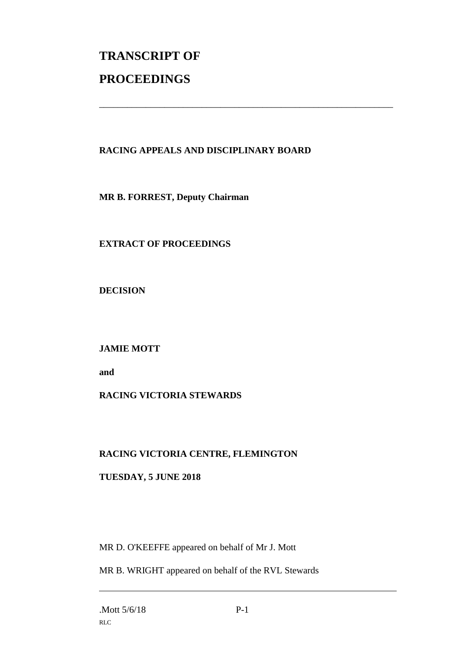# **TRANSCRIPT OF PROCEEDINGS**

#### **RACING APPEALS AND DISCIPLINARY BOARD**

\_\_\_\_\_\_\_\_\_\_\_\_\_\_\_\_\_\_\_\_\_\_\_\_\_\_\_\_\_\_\_\_\_\_\_\_\_\_\_\_\_\_\_\_\_\_\_\_\_\_\_\_\_\_\_\_\_\_\_\_\_\_\_

**MR B. FORREST, Deputy Chairman**

#### **EXTRACT OF PROCEEDINGS**

**DECISION**

**JAMIE MOTT**

**and** 

#### **RACING VICTORIA STEWARDS**

#### **RACING VICTORIA CENTRE, FLEMINGTON**

#### **TUESDAY, 5 JUNE 2018**

MR D. O'KEEFFE appeared on behalf of Mr J. Mott

MR B. WRIGHT appeared on behalf of the RVL Stewards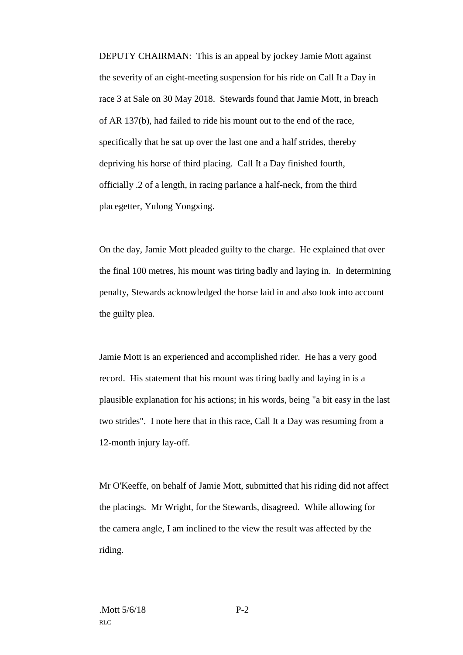DEPUTY CHAIRMAN: This is an appeal by jockey Jamie Mott against the severity of an eight-meeting suspension for his ride on Call It a Day in race 3 at Sale on 30 May 2018. Stewards found that Jamie Mott, in breach of AR 137(b), had failed to ride his mount out to the end of the race, specifically that he sat up over the last one and a half strides, thereby depriving his horse of third placing. Call It a Day finished fourth, officially .2 of a length, in racing parlance a half-neck, from the third placegetter, Yulong Yongxing.

On the day, Jamie Mott pleaded guilty to the charge. He explained that over the final 100 metres, his mount was tiring badly and laying in. In determining penalty, Stewards acknowledged the horse laid in and also took into account the guilty plea.

Jamie Mott is an experienced and accomplished rider. He has a very good record. His statement that his mount was tiring badly and laying in is a plausible explanation for his actions; in his words, being "a bit easy in the last two strides". I note here that in this race, Call It a Day was resuming from a 12-month injury lay-off.

Mr O'Keeffe, on behalf of Jamie Mott, submitted that his riding did not affect the placings. Mr Wright, for the Stewards, disagreed. While allowing for the camera angle, I am inclined to the view the result was affected by the riding.